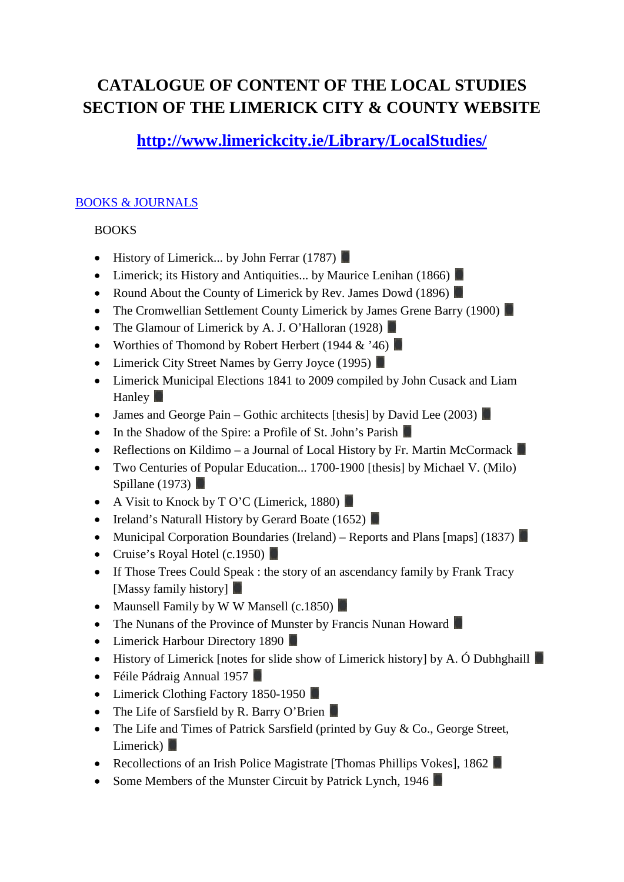# **CATALOGUE OF CONTENT OF THE LOCAL STUDIES SECTION OF THE LIMERICK CITY & COUNTY WEBSITE**

## **<http://www.limerickcity.ie/Library/LocalStudies/>**

### [BOOKS & JOURNALS](http://www.limerickcity.ie/Library/LocalStudies/BooksJournals/)

### **BOOKS**

- History of Limerick... by John Ferrar  $(1787)$
- Limerick; its History and Antiquities... by Maurice Lenihan (1866)
- Round About the County of Limerick by Rev. James Dowd (1896)
- The Cromwellian Settlement County Limerick by James Grene Barry (1900)
- The Glamour of Limerick by A. J. O'Halloran (1928)
- Worthies of Thomond by Robert Herbert (1944  $\&$  '46)
- Limerick City Street Names by Gerry Joyce (1995)
- Limerick Municipal Elections 1841 to 2009 compiled by John Cusack and Liam Hanley **N**
- James and George Pain Gothic architects [thesis] by David Lee (2003)
- In the Shadow of the Spire: a Profile of St. John's Parish
- Reflections on Kildimo a Journal of Local History by Fr. Martin McCormack
- Two Centuries of Popular Education... 1700-1900 [thesis] by Michael V. (Milo) Spillane (1973)  $\blacksquare$
- A Visit to Knock by T O'C (Limerick, 1880)
- Ireland's Naturall History by Gerard Boate (1652)
- Municipal Corporation Boundaries (Ireland) Reports and Plans [maps] (1837)
- Cruise's Royal Hotel (c.1950)
- If Those Trees Could Speak : the story of an ascendancy family by Frank Tracy [Massy family history]
- Maunsell Family by W W Mansell (c.1850)
- The Nunans of the Province of Munster by Francis Nunan Howard
- Limerick Harbour Directory 1890
- History of Limerick [notes for slide show of Limerick history] by A. Ó Dubhghaill
- Féile Pádraig Annual 1957
- Limerick Clothing Factory 1850-1950
- The Life of Sarsfield by R. Barry O'Brien
- The Life and Times of Patrick Sarsfield (printed by Guy & Co., George Street, Limerick)
- Recollections of an Irish Police Magistrate [Thomas Phillips Vokes], 1862
- Some Members of the Munster Circuit by Patrick Lynch, 1946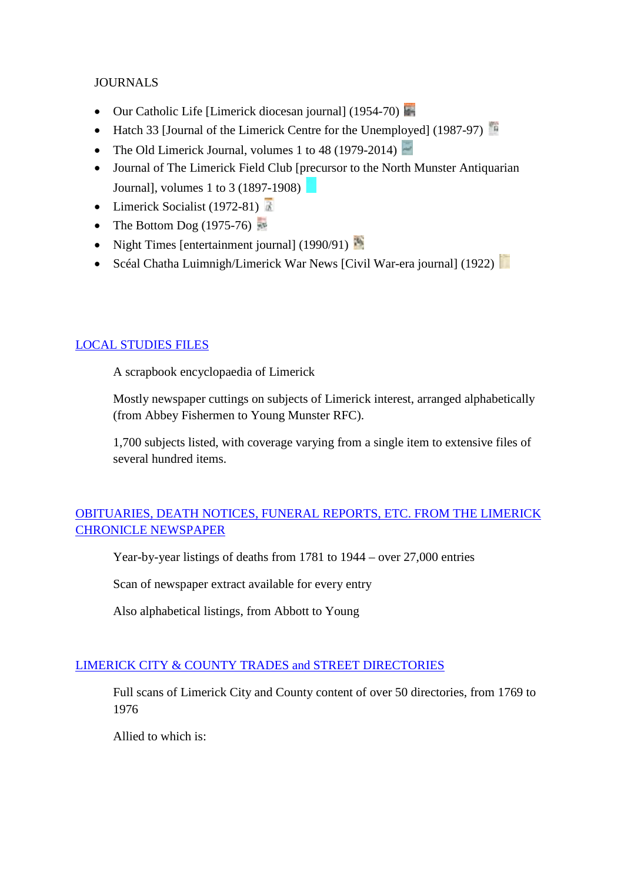### **JOURNALS**

- Our Catholic Life [Limerick diocesan journal] (1954-70)
- Hatch 33 [Journal of the Limerick Centre for the Unemployed] (1987-97)
- The Old Limerick Journal, volumes 1 to 48 (1979-2014)
- Journal of The Limerick Field Club [precursor to the North Munster Antiquarian Journal], volumes 1 to 3 (1897-1908)
- Limerick Socialist (1972-81)
- The Bottom Dog  $(1975-76)$
- Night Times [entertainment journal] (1990/91)
- Scéal Chatha Luimnigh/Limerick War News [Civil War-era journal] (1922)

### [LOCAL STUDIES FILES](http://www.limerickcity.ie/Library/LocalStudies/LocalStudiesFiles/)

A scrapbook encyclopaedia of Limerick

Mostly newspaper cuttings on subjects of Limerick interest, arranged alphabetically (from Abbey Fishermen to Young Munster RFC).

1,700 subjects listed, with coverage varying from a single item to extensive files of several hundred items.

### [OBITUARIES, DEATH NOTICES, FUNERAL REPORTS, ETC. FROM THE LIMERICK](http://www.limerickcity.ie/Library/LocalStudies/ObituariesdeathnoticesetcfromTheLimerickChronicle/)  [CHRONICLE NEWSPAPER](http://www.limerickcity.ie/Library/LocalStudies/ObituariesdeathnoticesetcfromTheLimerickChronicle/)

Year-by-year listings of deaths from 1781 to 1944 – over 27,000 entries

Scan of newspaper extract available for every entry

Also alphabetical listings, from Abbott to Young

### [LIMERICK CITY & COUNTY TRADES and STREET DIRECTORIES](http://www.limerickcity.ie/Library/LocalStudies/TradesStreetDirectories1769-1976/)

Full scans of Limerick City and County content of over 50 directories, from 1769 to 1976

Allied to which is: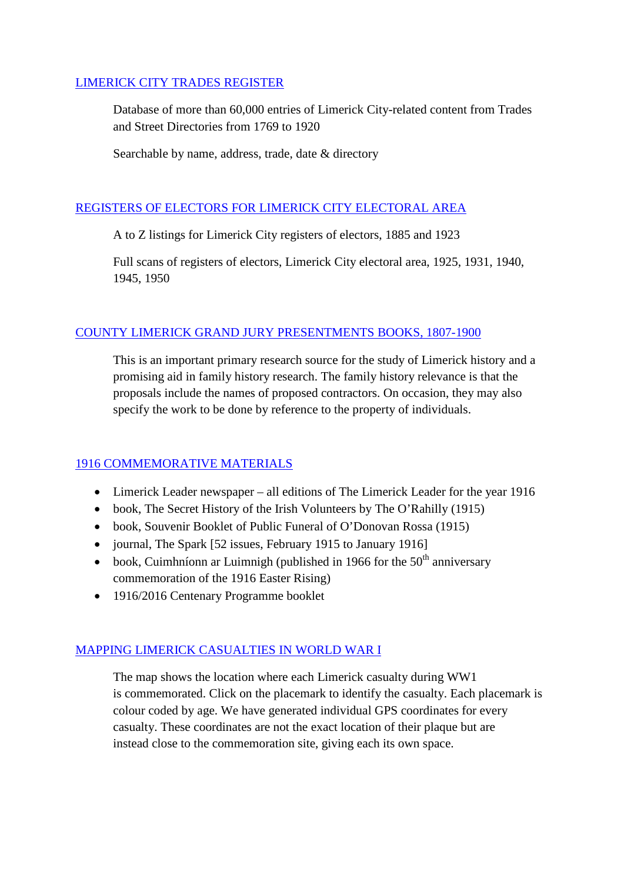### [LIMERICK CITY TRADES REGISTER](http://www.limerickcity.ie/webapps/TradesReg/TradesReg.aspx)

Database of more than 60,000 entries of Limerick City-related content from Trades and Street Directories from 1769 to 1920

Searchable by name, address, trade, date & directory

### [REGISTERS OF ELECTORS FOR LIMERICK CITY ELECTORAL AREA](http://www.limerickcity.ie/Library/LocalStudies/RegistersOfElectors/)

A to Z listings for Limerick City registers of electors, 1885 and 1923

Full scans of registers of electors, Limerick City electoral area, 1925, 1931, 1940, 1945, 1950

### [COUNTY LIMERICK GRAND JURY PRESENTMENTS BOOKS, 1807-1900](http://www.limerickcity.ie/Library/LocalStudies/GrandJuryPresentments1807-1900/)

This is an important primary research source for the study of Limerick history and a promising aid in family history research. The family history relevance is that the proposals include the names of proposed contractors. On occasion, they may also specify the work to be done by reference to the property of individuals.

### [1916 COMMEMORATIVE MATERIALS](http://www.limerickcity.ie/Library/LocalStudies/1916Commemoration/)

- Limerick Leader newspaper all editions of The Limerick Leader for the year 1916
- book, The Secret History of the Irish Volunteers by The O'Rahilly (1915)
- book, Souvenir Booklet of Public Funeral of O'Donovan Rossa (1915)
- journal, The Spark [52 issues, February 1915 to January 1916]
- book, Cuimhníonn ar Luimnigh (published in 1966 for the  $50<sup>th</sup>$  anniversary commemoration of the 1916 Easter Rising)
- 1916/2016 Centenary Programme booklet

### [MAPPING LIMERICK CASUALTIES IN WORLD WAR I](https://limerickww1.wordpress.com/)

The map shows the location where each Limerick casualty during WW1 is commemorated. Click on the placemark to identify the casualty. Each placemark is colour coded by age. We have generated individual GPS coordinates for every casualty. These coordinates are not the exact location of their plaque but are instead close to the commemoration site, giving each its own space.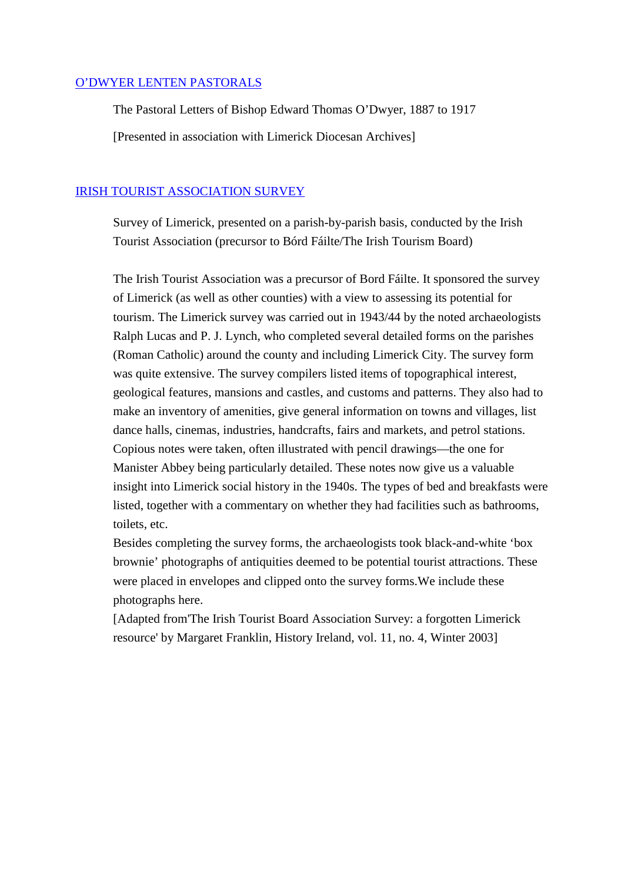#### [O'DWYER LENTEN PASTORALS](http://www.limerickcity.ie/Library/LocalStudies/ODwyerLentenPastorals/)

The Pastoral Letters of Bishop Edward Thomas O'Dwyer, 1887 to 1917

[Presented in association with Limerick Diocesan Archives]

### [IRISH TOURIST ASSOCIATION SURVEY](http://www.limerickcity.ie/Library/LocalStudies/IrishTouristAssociationSurvey/)

Survey of Limerick, presented on a parish-by-parish basis, conducted by the Irish Tourist Association (precursor to Bórd Fáilte/The Irish Tourism Board)

The Irish Tourist Association was a precursor of Bord Fáilte. It sponsored the survey of Limerick (as well as other counties) with a view to assessing its potential for tourism. The Limerick survey was carried out in 1943/44 by the noted archaeologists Ralph Lucas and P. J. Lynch, who completed several detailed forms on the parishes (Roman Catholic) around the county and including Limerick City. The survey form was quite extensive. The survey compilers listed items of topographical interest, geological features, mansions and castles, and customs and patterns. They also had to make an inventory of amenities, give general information on towns and villages, list dance halls, cinemas, industries, handcrafts, fairs and markets, and petrol stations. Copious notes were taken, often illustrated with pencil drawings—the one for Manister Abbey being particularly detailed. These notes now give us a valuable insight into Limerick social history in the 1940s. The types of bed and breakfasts were listed, together with a commentary on whether they had facilities such as bathrooms, toilets, etc.

Besides completing the survey forms, the archaeologists took black-and-white 'box brownie' photographs of antiquities deemed to be potential tourist attractions. These were placed in envelopes and clipped onto the survey forms.We include these photographs here.

[Adapted from'The Irish Tourist Board Association Survey: a forgotten Limerick resource' by Margaret Franklin, History Ireland, vol. 11, no. 4, Winter 2003]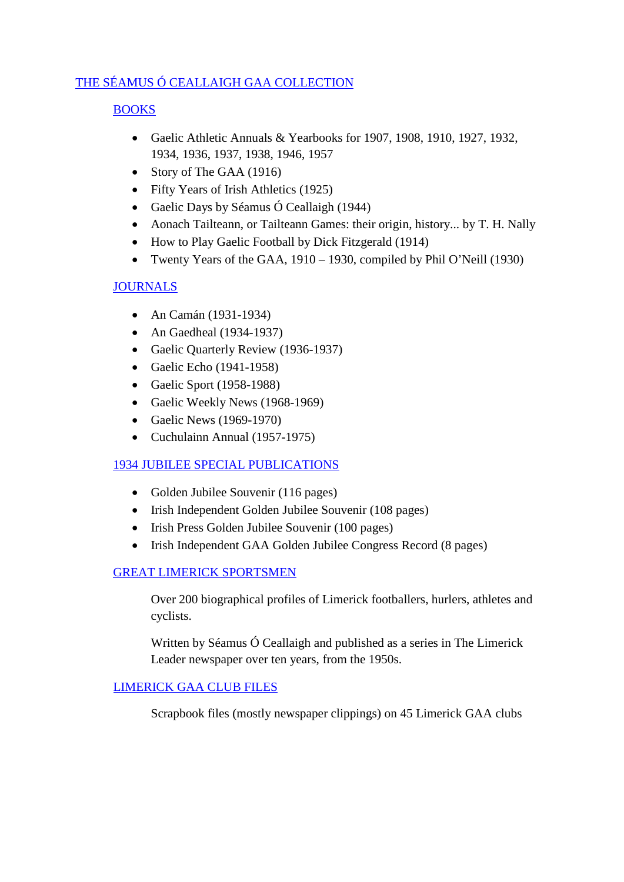### [THE SÉAMUS Ó CEALLAIGH GAA COLLECTION](http://www.limerickcity.ie/Library/LocalStudies/TheSeamusOCeallaighGAACollectionatLimerickCityLibrary/)

### [BOOKS](http://www.limerickcity.ie/Library/LocalStudies/TheSeamusOCeallaighGAACollectionatLimerickCityLibrary/BooksofGAAHistory/)

- Gaelic Athletic Annuals & Yearbooks for 1907, 1908, 1910, 1927, 1932, 1934, 1936, 1937, 1938, 1946, 1957
- Story of The GAA (1916)
- Fifty Years of Irish Athletics (1925)
- Gaelic Days by Séamus Ó Ceallaigh (1944)
- Aonach Tailteann, or Tailteann Games: their origin, history... by T. H. Nally
- How to Play Gaelic Football by Dick Fitzgerald (1914)
- Twenty Years of the GAA, 1910 1930, compiled by Phil O'Neill (1930)

### [JOURNALS](http://www.limerickcity.ie/Library/LocalStudies/TheSeamusOCeallaighGAACollectionatLimerickCityLibrary/Journals/)

- An Camán (1931-1934)
- An Gaedheal (1934-1937)
- Gaelic Quarterly Review (1936-1937)
- Gaelic Echo (1941-1958)
- Gaelic Sport (1958-1988)
- Gaelic Weekly News (1968-1969)
- Gaelic News (1969-1970)
- Cuchulainn Annual (1957-1975)

### [1934 JUBILEE SPECIAL PUBLICATIONS](http://www.limerickcity.ie/Library/LocalStudies/TheSeamusOCeallaighGAACollectionatLimerickCityLibrary/Journals/Jubilee1934Publications/)

- Golden Jubilee Souvenir (116 pages)
- Irish Independent Golden Jubilee Souvenir (108 pages)
- Irish Press Golden Jubilee Souvenir (100 pages)
- Irish Independent GAA Golden Jubilee Congress Record (8 pages)

### [GREAT LIMERICK SPORTSMEN](http://www.limerickcity.ie/Library/LocalStudies/SeamusOCeallaighsGreatLimerickSportsmen/)

Over 200 biographical profiles of Limerick footballers, hurlers, athletes and cyclists.

Written by Séamus Ó Ceallaigh and published as a series in The Limerick Leader newspaper over ten years, from the 1950s.

### [LIMERICK GAA CLUB FILES](http://www.limerickcity.ie/Library/LocalStudies/TheSeamusOCeallaighGAACollectionatLimerickCityLibrary/ClubsFiles/)

Scrapbook files (mostly newspaper clippings) on 45 Limerick GAA clubs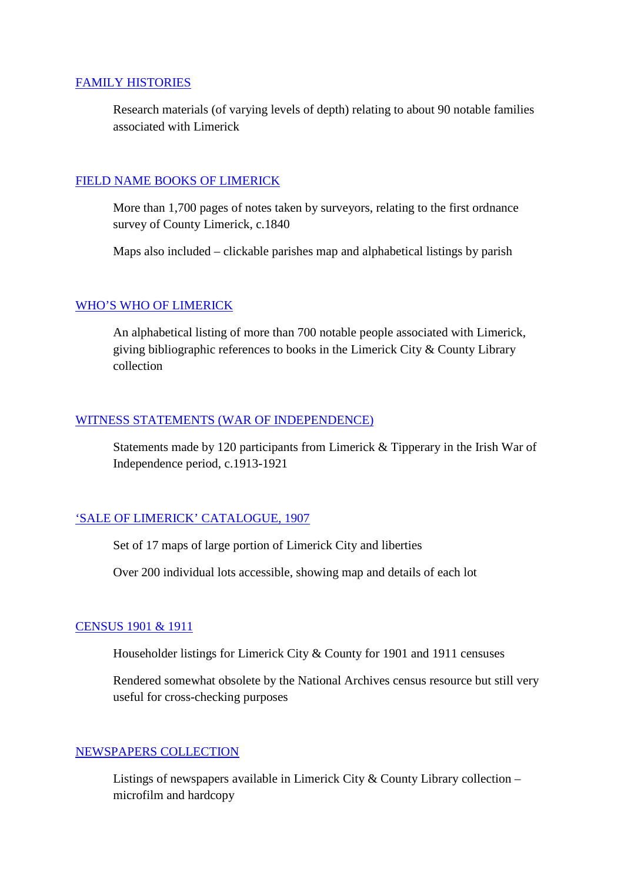#### [FAMILY HISTORIES](http://www.limerickcity.ie/Library/LocalStudies/FamilyHistories/)

Research materials (of varying levels of depth) relating to about 90 notable families associated with Limerick

### [FIELD NAME BOOKS OF LIMERICK](http://www.limerickcity.ie/Library/LocalStudies/FieldNameBooksofLimerick/)

More than 1,700 pages of notes taken by surveyors, relating to the first ordnance survey of County Limerick, c.1840

Maps also included – clickable parishes map and alphabetical listings by parish

### [WHO'S WHO OF LIMERICK](http://www.limerickcity.ie/Library/LocalStudies/WhosWhoofLimerick/)

An alphabetical listing of more than 700 notable people associated with Limerick, giving bibliographic references to books in the Limerick City & County Library collection

#### [WITNESS STATEMENTS \(WAR OF INDEPENDENCE\)](http://www.limerickcity.ie/Library/LocalStudies/IrishBureauofMilitaryHistory-WitnessStatements/)

Statements made by 120 participants from Limerick & Tipperary in the Irish War of Independence period, c.1913-1921

### ['SALE OF LIMERICK' CATALOGUE, 1907](http://www.limerickcity.ie/Library/LocalStudies/The1907SaleofLimerickCatalogueMaps/)

Set of 17 maps of large portion of Limerick City and liberties

Over 200 individual lots accessible, showing map and details of each lot

#### CENSUS [1901 & 1911](http://www.limerickcity.ie/Library/LocalStudies/19011911CensusHouseholderListings/)

Householder listings for Limerick City & County for 1901 and 1911 censuses

Rendered somewhat obsolete by the National Archives census resource but still very useful for cross-checking purposes

### [NEWSPAPERS COLLECTION](http://www.limerickcity.ie/Library/LocalStudies/NewspapersCollection/)

Listings of newspapers available in Limerick City & County Library collection – microfilm and hardcopy